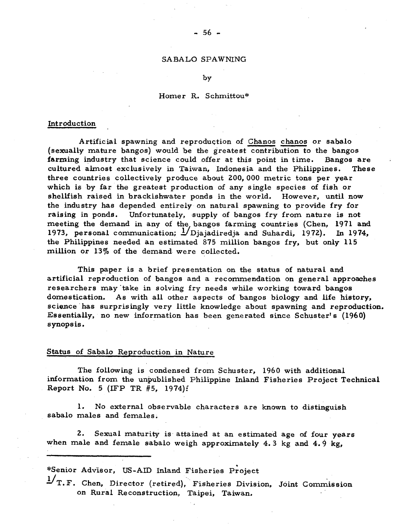## SA BALO SPAWNING

#### by

## Homer R. Schmittou\*

## Introduction

Artificial spawning and reproduction of Chanos chanos or sabalo (sexually mature bangos) would be the greatest contribution to the bangos farming industry that science could offer at this point in time. Bangos are cultured almost exclusively in Taiwan, Indonesia and the Philippines. These three countries collectively produce about 200, 000 metric tons per year which is by far the greatest production of any single species of fish or shellfish raised in brackishwater ponds in the world. However, until now the industry has depended entirely on natural spawning to provide fry for raising in ponds. Unfortunately, supply of bangos fry from nature is not meeting the demand in any of the bangos farming countries (Chen, 1971 and 1973, personal communication;  $1/D$  jajadiredja and Suhardi, 1972). In 1974, the Philippines needed an estimated 875 million bangos fry, but only 115 million or 13% of the demand were collected.

This paper is a brief presentation on the status of natural and artificial reproduction of bangos and a recommendation on general approaches researchers may take in solving fry needs while working toward bangos domestication. As with all other aspects of bangos biology and life history, science has surprisingly very little knowledge about spawning and reproduction. Essentially, no new information has been generated since Schuster's (1960) synopsis.

# Status of Sabalo Reproduction in Nature

The following is condensed from Schuster, 1960 with additional information from the unpublished Philippine Inland Fisheries Project Technical Report No. 5 (IFP TR  $#5$ , 1974):

1. No external observable characters are known to distinguish sabalo males and females.

2. Sexual maturity is attained at an estimated age of four years when male and female sabalo weigh approximately 4.3 kg and  $4.9$  kg,

\*Senior Advisor, US-AID Inland Fisheries Project

 $\frac{1}{T}$ , F. Chen, Director (retired), Fisheries Division, Joint Commission on Rural Reconstruction, Taipei, Taiwan.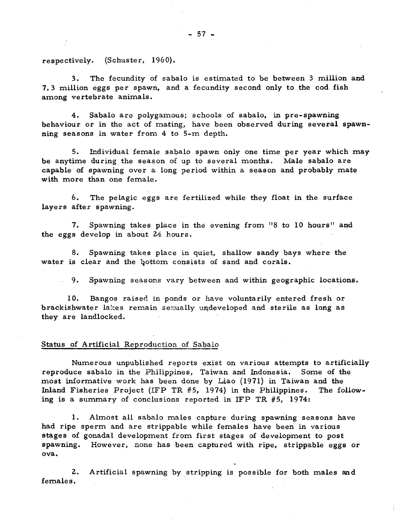respectively. (Schuster, 1960).

3. The fecundity of sabalo is estimated to be between 3 million and 7.3 million eggs per spawn, and a fecundity second only to the cod fish among vertebrate animals.

4. Sabalo are polygamous; schools of sabalo, in pre-spawning behaviour or in the act of mating, have been observed during several spawnning seasons in water from 4 to 5-m depth.

5. Individual female sabalo spawn only one time per year which may be anytime during the season of up to several months. Male sabalo are capable of spawning over a long period within a season and probably mate with more than one female.

6. The pelagic eggs are fertilized while they float in the surface layers after spawning.

7. Spawning takes place in the evening from "8 to 10 hours" and the eggs develop in about 24 hours.

8. Spawning takes place in quiet, shallow sandy bays where the water is clear and the bottom consists of sand and corals.

9. Spawning seasons vary between and within geographic locations.

10. Bangos raised in ponds or have voluntarily entered fresh or brackishwater lakes remain sexually undeveloped and sterile as long as they are landlocked.

### Status of Artificial Reproduction of Sabalo

Numerous unpublished reports exist on various attempts to artificially reproduce sabalo in the Philippines, Taiwan and Indonesia. Some of the most informative work has been done by Liao (1971) in Taiwan and the Inland Fisheries Project (IFP TR  $#5$ , 1974) in the Philippines. The following is a summary of conclusions reported in IFP TR  $#5$ , 1974:

1. Almost all sabalo males capture during spawning seasons have had ripe sperm and are strippable while females have been in various stages of gonadal development from first stages of development to post spawning. However, none has been captured with ripe, strippable eggs or ova.

2. Artificial spawning by stripping is possible for both males and females.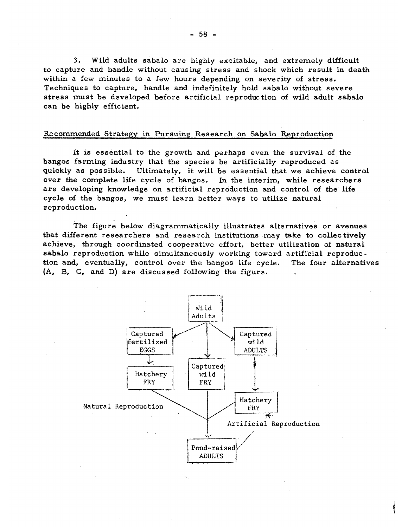3. Wild adults sabalo are highly excitable, and extremely difficult to capture and handle without causing stress and shock which result in death within a few minutes to a few hours depending on severity of stress. Techniques to capture, handle and indefinitely hold sabalo without severe stress must be developed before artificial reproduction of wild adult sabalo can be highly efficient.

### Recommended Strategy in Pursuing Research on Sabalo Reproduction

It is essential to the growth and perhaps even the survival of the bangos farming industry that the species be artificially reproduced as quickly as possible. Ultimately, it will be essential that we achieve control over the complete life cycle of bangos. In the interim, while researchers are developing knowledge on artificial reproduction and control of the life cycle of the bangos, we must learn better ways to utilize natural reproduction.

The figure below diagrammatically illustrates alternatives or avenues that different researchers and research institutions may take to collectively achieve, through coordinated cooperative effort, better utilization of natural sabalo reproduction while simultaneously working toward artificial reproduction and, eventually, control over the bangos life cycle. The four alternatives (A, B, C, and D) are discussed following the figure.

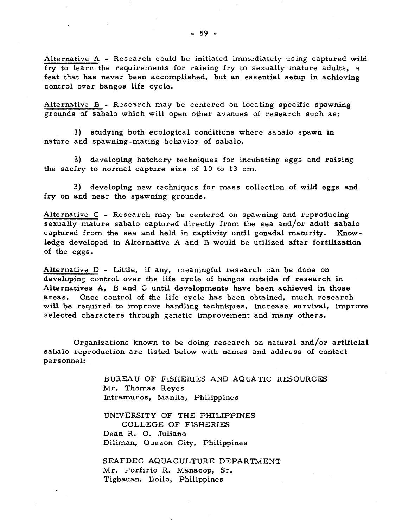Alternative A - Research could be initiated immediately using captured wild fry to learn the requirements for raising fry to sexually mature adults, a feat that has never been accomplished, but an essential setup in achieving control over bangos life cycle.

Alternative  $B$  - Research may be centered on locating specific spawning grounds of sabalo which will open other avenues of research such as:

1) studying both ecological conditions where sabalo spawn in nature and spawning-mating behavior of sabalo.

2) developing hatchery techniques for incubating eggs and raising the sacfry to normal capture size of 10 to 13 cm.

3) developing new techniques for mass collection of wild eggs and fry on and near the spawning grounds.

Alternative C - Research may be centered on spawning and reproducing sexually mature sabalo captured directly from the sea and/or adult sabalo captured from the sea and held in captivity until gonadal maturity. Knowledge developed in Alternative A and B would be utilized after fertilization of the eggs.

Alternative D - Little, if any, meaningful research can be done on developing control over the life cycle of bangos outside of research in Alternatives A, B and C until developments have been achieved in those areas. Once control of the life cycle has been obtained, much research will be required to improve handling techniques, increase survival, improve selected characters through genetic improvement and many others.

Organizations known to be doing research on natural and/or artificial sabalo reproduction are listed below with names and address of contact personnel:

> BUREAU OF FISHERIES AND AQUATIC RESOURCES Mr. Thomas Reyes Intramuros, Manila, Philippines

UNIVERSITY OF THE PHILIPPINES COLLEGE OF FISHERIES Dean R. O. Juliano Diliman, Quezon City, Philippines

SEAFDEC AQUACULTURE DEPARTMENT Mr. Porfirio R. Manacop, Sr. Tigbauan, Iloilo, Philippines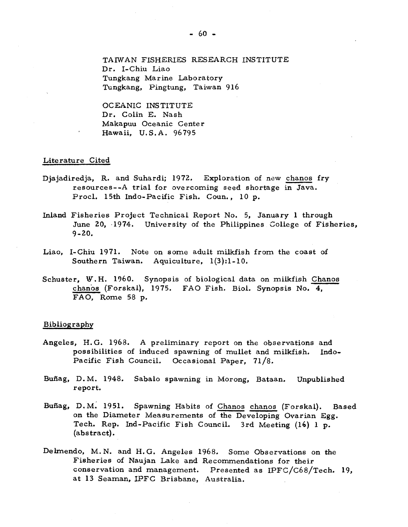OCEANIC INSTITUTE Dr. Colin E. Nash Makapuu Oceanic Center Hawaii, U.S.A. 96795

### Literature Cited

- Djajadiredja, R. and Suhardi; 1972. Exploration of new chanos fry resources--A trial for overcoming seed shortage in Java. Procl. 15th Indo-Pacific Fish. Coun., 10 p.
- Inland Fisheries Project Technical Report No. 5, January 1 through June 20, 1974. University of the Philippines College of Fisheries,  $9 - 20.$
- Liao, I-Chiu 1971. Note on some adult milkfish from the coast of Southern Taiwan. Aquiculture, 1(3);1-10.
- Schuster, W.H. 1960. Synopsis of biological data on milkfish Chanos chanos (Forskal), 1975. FAO Fish. Biol. Synopsis No. 4, FAO, Rome 58 p.

## Bibliography

- Angeles, H.G. 1968. A preliminary report on the observations and possibilities of induced spawning of mullet and milkfish. Indo-Pacific Fish Council. Occasional Paper, 7l/8.
- Buñag, D.M. 1948. Sabalo spawning in Morong, Bataan. Unpublished report.
- Buñag, D.M. 1951. Spawning Habits of Chanos chanos (Forskal). Based on the Diameter Measurements of the Developing Ovarian Egg. Tech. Rep. Ind-Pacific Fish Council. 3rd Meeting (16) 1 p. (abstract).
- Delmendo, M.N. and H.G. Angeles 1968. Some Observations on the Fisheries of Naujan Lake and Recommendations for their conservation and management. Presented as IPFC/C68/Tech. 19, at 13 Seaman, IPFC Brisbane, Australia.